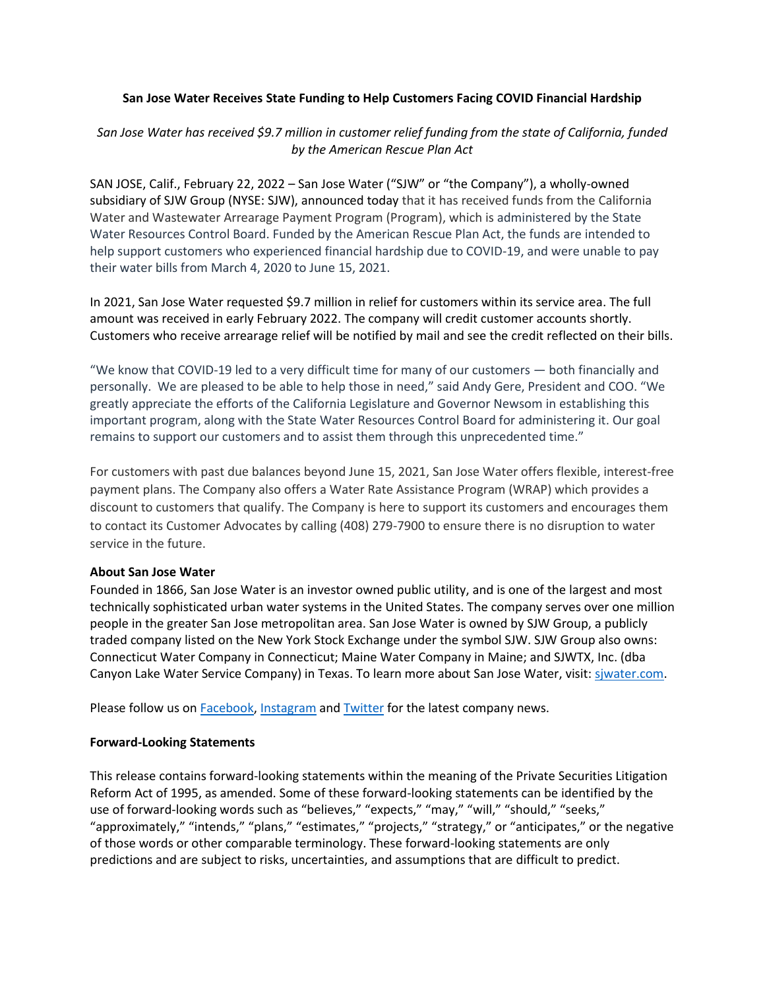## **San Jose Water Receives State Funding to Help Customers Facing COVID Financial Hardship**

# *San Jose Water has received \$9.7 million in customer relief funding from the state of California, funded by the American Rescue Plan Act*

SAN JOSE, Calif., February 22, 2022 – San Jose Water ("SJW" or "the Company"), a wholly-owned subsidiary of SJW Group (NYSE: SJW), announced today that it has received funds from the California Water and Wastewater Arrearage Payment Program (Program), which is administered by the State Water Resources Control Board. Funded by the American Rescue Plan Act, the funds are intended to help support customers who experienced financial hardship due to COVID-19, and were unable to pay their water bills from March 4, 2020 to June 15, 2021.

In 2021, San Jose Water requested \$9.7 million in relief for customers within its service area. The full amount was received in early February 2022. The company will credit customer accounts shortly. Customers who receive arrearage relief will be notified by mail and see the credit reflected on their bills.

"We know that COVID-19 led to a very difficult time for many of our customers — both financially and personally. We are pleased to be able to help those in need," said Andy Gere, President and COO. "We greatly appreciate the efforts of the California Legislature and Governor Newsom in establishing this important program, along with the State Water Resources Control Board for administering it. Our goal remains to support our customers and to assist them through this unprecedented time."

For customers with past due balances beyond June 15, 2021, San Jose Water offers flexible, interest-free payment plans. The Company also offers a Water Rate Assistance Program (WRAP) which provides a discount to customers that qualify. The Company is here to support its customers and encourages them to contact its Customer Advocates by calling (408) 279-7900 to ensure there is no disruption to water service in the future.

## **About San Jose Water**

Founded in 1866, San Jose Water is an investor owned public utility, and is one of the largest and most technically sophisticated urban water systems in the United States. The company serves over one million people in the greater San Jose metropolitan area. San Jose Water is owned by SJW Group, a publicly traded company listed on the New York Stock Exchange under the symbol SJW. SJW Group also owns: Connecticut Water Company in Connecticut; Maine Water Company in Maine; and SJWTX, Inc. (dba Canyon Lake Water Service Company) in Texas. To learn more about San Jose Water, visit: siwater.com.

Please follow us on [Facebook,](https://www.facebook.com/sjwaterco) [Instagram](https://www.instagram.com/sjwater/) and [Twitter](https://twitter.com/sjwaterco) for the latest company news.

## **Forward-Looking Statements**

This release contains forward-looking statements within the meaning of the Private Securities Litigation Reform Act of 1995, as amended. Some of these forward-looking statements can be identified by the use of forward-looking words such as "believes," "expects," "may," "will," "should," "seeks," "approximately," "intends," "plans," "estimates," "projects," "strategy," or "anticipates," or the negative of those words or other comparable terminology. These forward-looking statements are only predictions and are subject to risks, uncertainties, and assumptions that are difficult to predict.